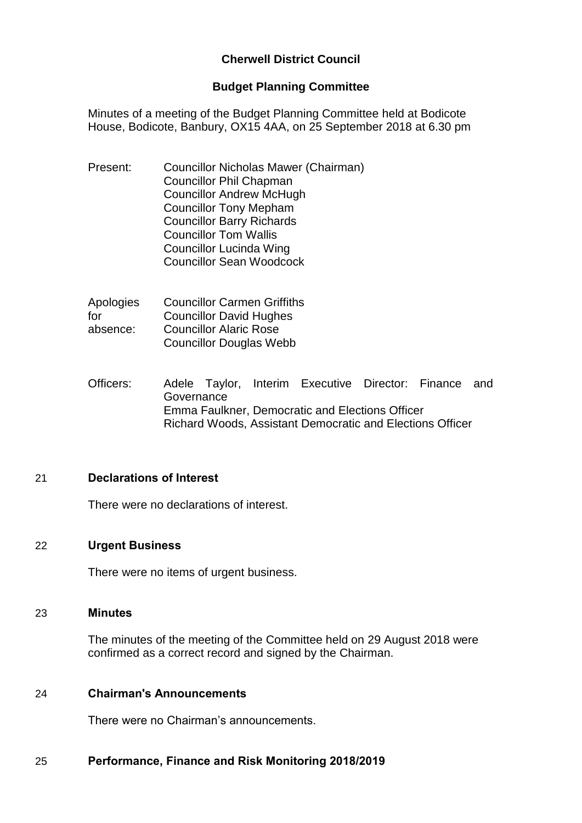# **Cherwell District Council**

### **Budget Planning Committee**

Minutes of a meeting of the Budget Planning Committee held at Bodicote House, Bodicote, Banbury, OX15 4AA, on 25 September 2018 at 6.30 pm

Present: Councillor Nicholas Mawer (Chairman) Councillor Phil Chapman Councillor Andrew McHugh Councillor Tony Mepham Councillor Barry Richards Councillor Tom Wallis Councillor Lucinda Wing Councillor Sean Woodcock

| Apologies | <b>Councillor Carmen Griffiths</b> |
|-----------|------------------------------------|
| for       | <b>Councillor David Hughes</b>     |
| absence:  | <b>Councillor Alaric Rose</b>      |
|           | <b>Councillor Douglas Webb</b>     |

Officers: Adele Taylor, Interim Executive Director: Finance and **Governance** Emma Faulkner, Democratic and Elections Officer Richard Woods, Assistant Democratic and Elections Officer

## 21 **Declarations of Interest**

There were no declarations of interest.

#### 22 **Urgent Business**

There were no items of urgent business.

#### 23 **Minutes**

The minutes of the meeting of the Committee held on 29 August 2018 were confirmed as a correct record and signed by the Chairman.

#### 24 **Chairman's Announcements**

There were no Chairman's announcements.

#### 25 **Performance, Finance and Risk Monitoring 2018/2019**